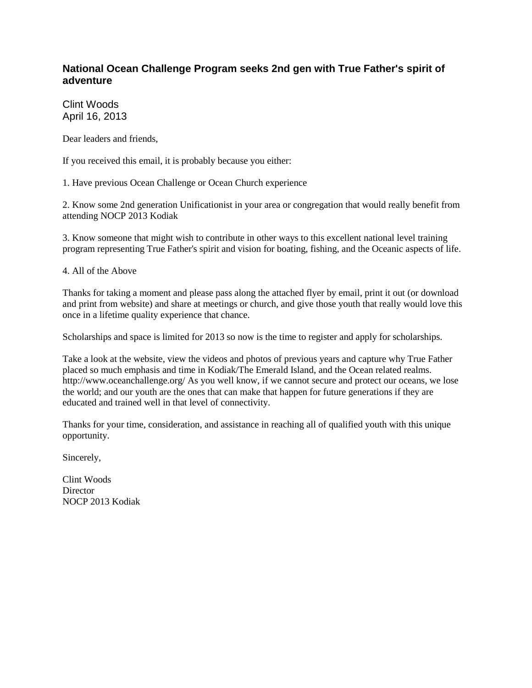## **National Ocean Challenge Program seeks 2nd gen with True Father's spirit of adventure**

Clint Woods April 16, 2013

Dear leaders and friends,

If you received this email, it is probably because you either:

1. Have previous Ocean Challenge or Ocean Church experience

2. Know some 2nd generation Unificationist in your area or congregation that would really benefit from attending NOCP 2013 Kodiak

3. Know someone that might wish to contribute in other ways to this excellent national level training program representing True Father's spirit and vision for boating, fishing, and the Oceanic aspects of life.

4. All of the Above

Thanks for taking a moment and please pass along the attached flyer by email, print it out (or download and print from website) and share at meetings or church, and give those youth that really would love this once in a lifetime quality experience that chance.

Scholarships and space is limited for 2013 so now is the time to register and apply for scholarships.

Take a look at the website, view the videos and photos of previous years and capture why True Father placed so much emphasis and time in Kodiak/The Emerald Island, and the Ocean related realms. http://www.oceanchallenge.org/ As you well know, if we cannot secure and protect our oceans, we lose the world; and our youth are the ones that can make that happen for future generations if they are educated and trained well in that level of connectivity.

Thanks for your time, consideration, and assistance in reaching all of qualified youth with this unique opportunity.

Sincerely,

Clint Woods **Director** NOCP 2013 Kodiak